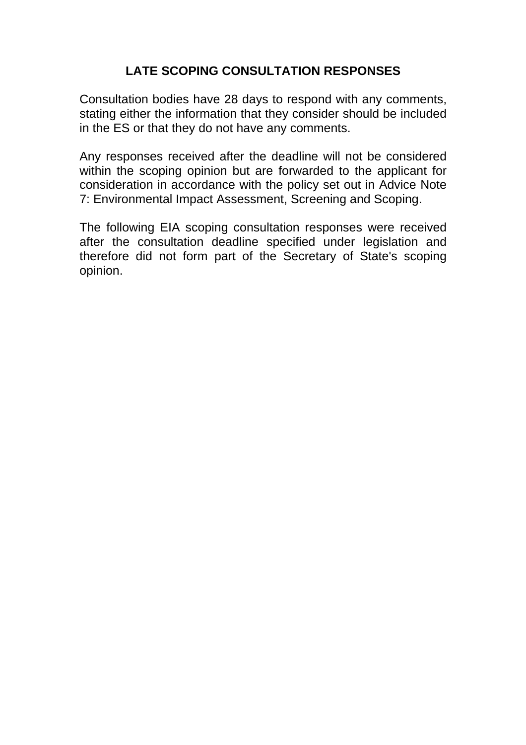## **LATE SCOPING CONSULTATION RESPONSES**

Consultation bodies have 28 days to respond with any comments, stating either the information that they consider should be included in the ES or that they do not have any comments.

Any responses received after the deadline will not be considered within the scoping opinion but are forwarded to the applicant for consideration in accordance with the policy set out in Advice Note 7: Environmental Impact Assessment, Screening and Scoping.

The following EIA scoping consultation responses were received after the consultation deadline specified under legislation and therefore did not form part of the Secretary of State's scoping opinion.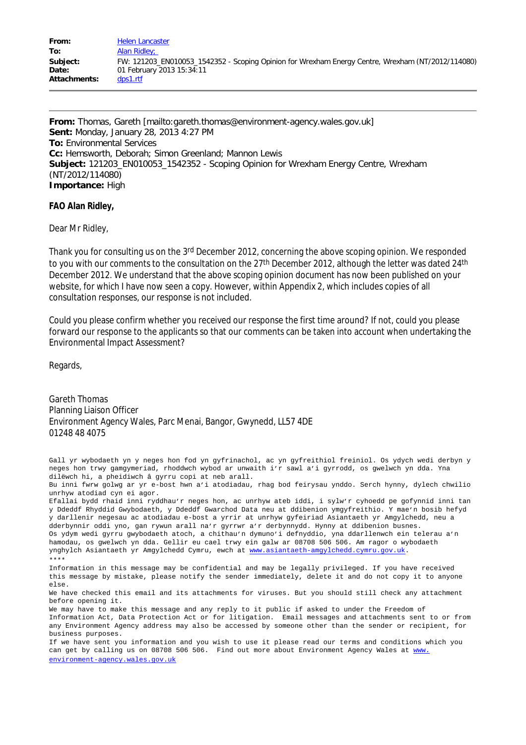**From:** Thomas, Gareth [mailto:gareth.thomas@environment-agency.wales.gov.uk] **Sent:** Monday, January 28, 2013 4:27 PM **To:** Environmental Services **Cc:** Hemsworth, Deborah; Simon Greenland; Mannon Lewis **Subject:** 121203\_EN010053\_1542352 - Scoping Opinion for Wrexham Energy Centre, Wrexham (NT/2012/114080) **Importance:** High

**FAO Alan Ridley,**

Dear Mr Ridley,

Thank you for consulting us on the 3<sup>rd</sup> December 2012, concerning the above scoping opinion. We responded to you with our comments to the consultation on the 27<sup>th</sup> December 2012, although the letter was dated 24<sup>th</sup> December 2012. We understand that the above scoping opinion document has now been published on your website, for which I have now seen a copy. However, within Appendix 2, which includes copies of all consultation responses, our response is not included.

Could you please confirm whether you received our response the first time around? If not, could you please forward our response to the applicants so that our comments can be taken into account when undertaking the Environmental Impact Assessment?

Regards,

Gareth Thomas Planning Liaison Officer Environment Agency Wales, Parc Menai, Bangor, Gwynedd, LL57 4DE 01248 48 4075

Gall yr wybodaeth yn y neges hon fod yn gyfrinachol, ac yn gyfreithiol freiniol. Os ydych wedi derbyn y neges hon trwy gamgymeriad, rhoddwch wybod ar unwaith i'r sawl a'i gyrrodd, os gwelwch yn dda. Yna dilëwch hi, a pheidiwch â gyrru copi at neb arall. Bu inni fwrw golwg ar yr e-bost hwn a'i atodiadau, rhag bod feirysau ynddo. Serch hynny, dylech chwilio unrhyw atodiad cyn ei agor. Efallai bydd rhaid inni ryddhau'r neges hon, ac unrhyw ateb iddi, i sylw'r cyhoedd pe gofynnid inni tan y Ddeddf Rhyddid Gwybodaeth, y Ddeddf Gwarchod Data neu at ddibenion ymgyfreithio. Y mae'n bosib hefyd y darllenir negesau ac atodiadau e-bost a yrrir at unrhyw gyfeiriad Asiantaeth yr Amgylchedd, neu a dderbynnir oddi yno, gan rywun arall na'r gyrrwr a'r derbynnydd. Hynny at ddibenion busnes. Os ydym wedi gyrru gwybodaeth atoch, a chithau'n dymuno'i defnyddio, yna ddarllenwch ein telerau a'n hamodau, os gwelwch yn dda. Gellir eu cael trwy ein galw ar 08708 506 506. Am ragor o wybodaeth ynghylch Asiantaeth yr Amgylchedd Cymru, ewch at [www.asiantaeth-amgylchedd.cymru.gov.uk](http://www.asiantaeth-amgylchedd.cymru.gov.uk/). \*\*\*\* Information in this message may be confidential and may be legally privileged. If you have received this message by mistake, please notify the sender immediately, delete it and do not copy it to anyone else. We have checked this email and its attachments for viruses. But you should still check any attachment before opening it. We may have to make this message and any reply to it public if asked to under the Freedom of Information Act, Data Protection Act or for litigation. Email messages and attachments sent to or from any Environment Agency address may also be accessed by someone other than the sender or recipient, for business purposes. If we have sent you information and you wish to use it please read our terms and conditions which you can get by calling us on 08708 506 506. Find out more about Environment Agency Wales at [www.](http://www.environment-agency.wales.gov.uk/)

[environment-agency.wales.gov.uk](http://www.environment-agency.wales.gov.uk/)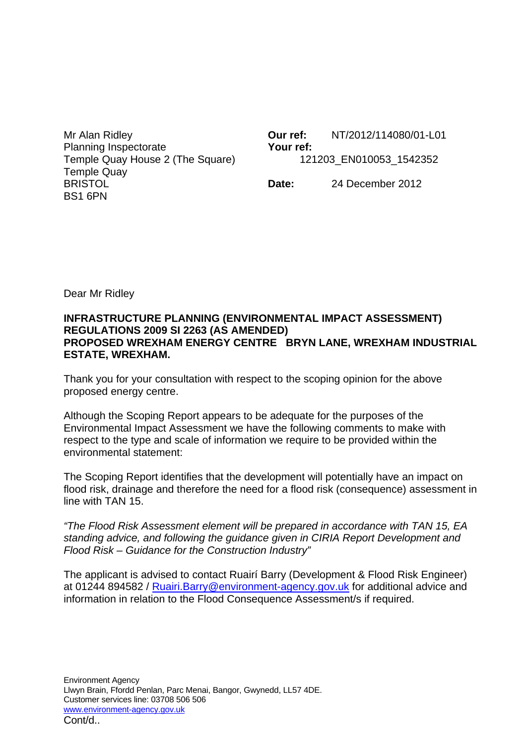Mr Alan Ridley Planning Inspectorate Temple Quay House 2 (The Square) Temple Quay BRISTOL BS1 6PN

**Our ref:** NT/2012/114080/01-L01 **Your ref:** 121203\_EN010053\_1542352

**Date:** 24 December 2012

Dear Mr Ridley

## **INFRASTRUCTURE PLANNING (ENVIRONMENTAL IMPACT ASSESSMENT) REGULATIONS 2009 SI 2263 (AS AMENDED) PROPOSED WREXHAM ENERGY CENTRE BRYN LANE, WREXHAM INDUSTRIAL ESTATE, WREXHAM.**

Thank you for your consultation with respect to the scoping opinion for the above proposed energy centre.

Although the Scoping Report appears to be adequate for the purposes of the Environmental Impact Assessment we have the following comments to make with respect to the type and scale of information we require to be provided within the environmental statement:

The Scoping Report identifies that the development will potentially have an impact on flood risk, drainage and therefore the need for a flood risk (consequence) assessment in line with TAN 15.

*"The Flood Risk Assessment element will be prepared in accordance with TAN 15, EA standing advice, and following the guidance given in CIRIA Report Development and Flood Risk – Guidance for the Construction Industry"*

The applicant is advised to contact Ruairí Barry (Development & Flood Risk Engineer) at 01244 894582 / [Ruairi.Barry@environment-agency.gov.uk](mailto:Ruairi.Barry@environment-agency.gov.uk) for additional advice and information in relation to the Flood Consequence Assessment/s if required.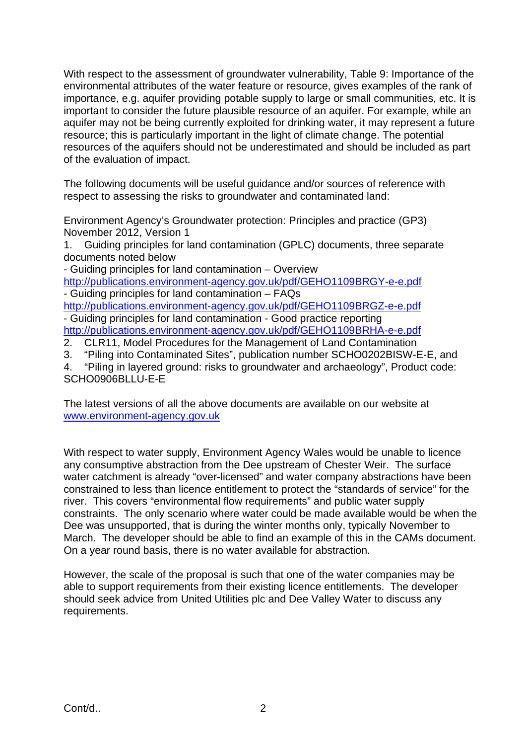With respect to the assessment of groundwater vulnerability, Table 9: Importance of the environmental attributes of the water feature or resource, gives examples of the rank of importance, e.g. aquifer providing potable supply to large or small communities, etc. It is important to consider the future plausible resource of an aquifer. For example, while an aquifer may not be being currently exploited for drinking water, it may represent a future resource; this is particularly important in the light of climate change. The potential resources of the aquifers should not be underestimated and should be included as part of the evaluation of impact.

The following documents will be useful guidance and/or sources of reference with respect to assessing the risks to groundwater and contaminated land:

Environment Agency's Groundwater protection: Principles and practice (GP3) November 2012, Version 1

1. Guiding principles for land contamination (GPLC) documents, three separate documents noted below

- Guiding principles for land contamination – Overview

<http://publications.environment-agency.gov.uk/pdf/GEHO1109BRGY-e-e.pdf> - Guiding principles for land contamination – FAQs

<http://publications.environment-agency.gov.uk/pdf/GEHO1109BRGZ-e-e.pdf> - Guiding principles for land contamination - Good practice reporting <http://publications.environment-agency.gov.uk/pdf/GEHO1109BRHA-e-e.pdf>

2. CLR11, Model Procedures for the Management of Land Contamination

3. "Piling into Contaminated Sites", publication number SCHO0202BISW-E-E, and

4. "Piling in layered ground: risks to groundwater and archaeology", Product code: SCHO0906BLLU-E-E

The latest versions of all the above documents are available on our website at [www.environment-agency.gov.uk](http://www.environment-agency.gov.uk/)

With respect to water supply, Environment Agency Wales would be unable to licence any consumptive abstraction from the Dee upstream of Chester Weir. The surface water catchment is already "over-licensed" and water company abstractions have been constrained to less than licence entitlement to protect the "standards of service" for the river. This covers "environmental flow requirements" and public water supply constraints. The only scenario where water could be made available would be when the Dee was unsupported, that is during the winter months only, typically November to March. The developer should be able to find an example of this in the CAMs document. On a year round basis, there is no water available for abstraction.

However, the scale of the proposal is such that one of the water companies may be able to support requirements from their existing licence entitlements. The developer should seek advice from United Utilities plc and Dee Valley Water to discuss any requirements.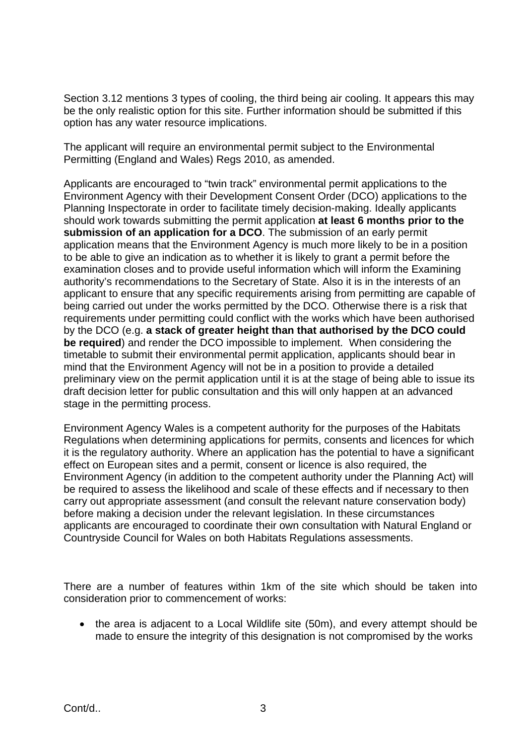Section 3.12 mentions 3 types of cooling, the third being air cooling. It appears this may be the only realistic option for this site. Further information should be submitted if this option has any water resource implications.

The applicant will require an environmental permit subject to the Environmental Permitting (England and Wales) Regs 2010, as amended.

Applicants are encouraged to "twin track" environmental permit applications to the Environment Agency with their Development Consent Order (DCO) applications to the Planning Inspectorate in order to facilitate timely decision-making. Ideally applicants should work towards submitting the permit application **at least 6 months prior to the submission of an application for a DCO**. The submission of an early permit application means that the Environment Agency is much more likely to be in a position to be able to give an indication as to whether it is likely to grant a permit before the examination closes and to provide useful information which will inform the Examining authority's recommendations to the Secretary of State. Also it is in the interests of an applicant to ensure that any specific requirements arising from permitting are capable of being carried out under the works permitted by the DCO. Otherwise there is a risk that requirements under permitting could conflict with the works which have been authorised by the DCO (e.g. **a stack of greater height than that authorised by the DCO could be required**) and render the DCO impossible to implement. When considering the timetable to submit their environmental permit application, applicants should bear in mind that the Environment Agency will not be in a position to provide a detailed preliminary view on the permit application until it is at the stage of being able to issue its draft decision letter for public consultation and this will only happen at an advanced stage in the permitting process.

Environment Agency Wales is a competent authority for the purposes of the Habitats Regulations when determining applications for permits, consents and licences for which it is the regulatory authority. Where an application has the potential to have a significant effect on European sites and a permit, consent or licence is also required, the Environment Agency (in addition to the competent authority under the Planning Act) will be required to assess the likelihood and scale of these effects and if necessary to then carry out appropriate assessment (and consult the relevant nature conservation body) before making a decision under the relevant legislation. In these circumstances applicants are encouraged to coordinate their own consultation with Natural England or Countryside Council for Wales on both Habitats Regulations assessments.

There are a number of features within 1km of the site which should be taken into consideration prior to commencement of works:

• the area is adjacent to a Local Wildlife site (50m), and every attempt should be made to ensure the integrity of this designation is not compromised by the works